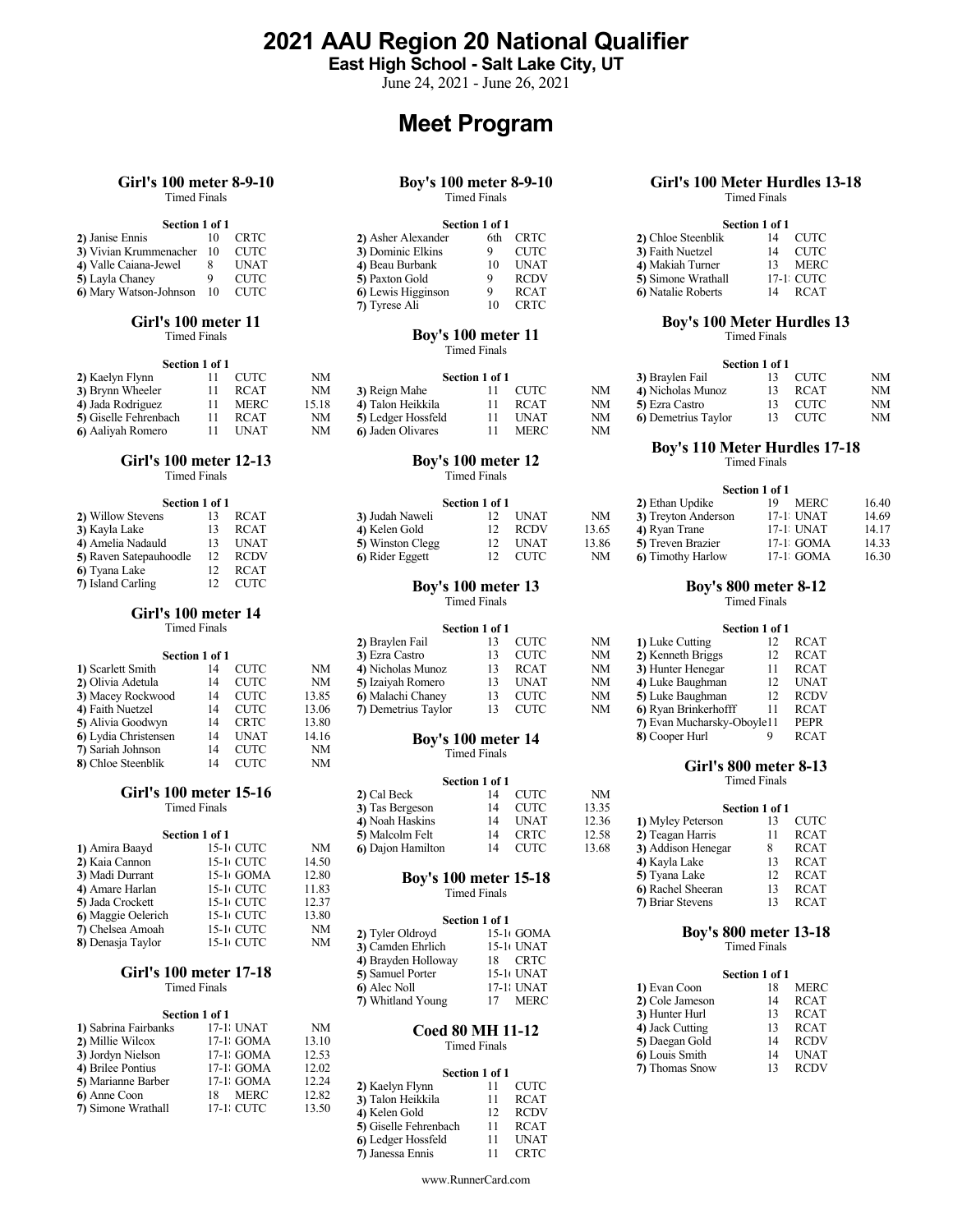2021 AAU Region 20 National Qualifier

East High School - Salt Lake City, UT

June 24, 2021 - June 26, 2021

# Meet Program

# Girl's 100 meter 8-9-10 Timed Finals

# Section 1 of 1

| DUUUH 1 VI 1              |             | www.com            |             |  |
|---------------------------|-------------|--------------------|-------------|--|
| 2) Janise Ennis           | CRTC-       | 2) Asher Alexander | 6th CRTC    |  |
| 3) Vivian Krummenacher 10 | – CUTC      | 3) Dominic Elkins  | CUTC-       |  |
| 4) Valle Caiana-Jewel     | <b>UNAT</b> | 4) Beau Burbank    | UNAT        |  |
| 5) Layla Chaney           | CUTC        | 5) Paxton Gold     | <b>RCDV</b> |  |
| 6) Mary Watson-Johnson 10 | CUTC-       | 6 Lewis Higginson  | <b>RCAT</b> |  |

### Girl's 100 meter 11 Timed Finals

|                       | Section 1 of 1 |             |       |                    |                |      |    |                     | <b>Section 1</b> |
|-----------------------|----------------|-------------|-------|--------------------|----------------|------|----|---------------------|------------------|
| 2) Kaelyn Flynn       |                | <b>CUTC</b> | NΜ    |                    | Section 1 of 1 |      |    | 3) Braylen Fail     |                  |
| 3) Brynn Wheeler      | $11 -$         | RCAT        | NΜ    | 3) Reign Mahe      |                | CUTC | NΜ | 4) Nicholas Munoz   |                  |
| 4) Jada Rodriguez     |                | MERC        | 15.18 | 4) Talon Heikkila  |                | RCAT | NΜ | 5) Ezra Castro      |                  |
| 5) Giselle Fehrenbach |                | RCAT        | NΜ    | 5) Ledger Hossfeld |                | UNAT | NM | 6) Demetrius Taylor |                  |
| 6) Aaliyah Romero     |                | UNAT        | NΜ    | 6) Jaden Olivares  |                | MERC | NΜ |                     |                  |

# Girl's 100 meter 12-13

Timed Finals

| Section 1 of 1         |    |             |                           | Section 1 of 1 |             |       | 2) Ethan Updike         | 19.    |
|------------------------|----|-------------|---------------------------|----------------|-------------|-------|-------------------------|--------|
| 2) Willow Stevens      | 13 | <b>RCAT</b> | 3) Judah Naweli           | 12             | <b>UNAT</b> | NM    | 3) Treyton Anderson     | $17-1$ |
| 3) Kayla Lake          | 13 | <b>RCAT</b> | 4) Kelen Gold             | 12             | <b>RCDV</b> | 13.65 | 4) Ryan Trane           | $17-1$ |
| 4) Amelia Nadauld      | 13 | UNAT        | 5) Winston Clegg          | 12             | <b>UNAT</b> | 13.86 | 5) Treven Brazier       | $17-1$ |
| 5) Raven Satepauhoodle | 12 | <b>RCDV</b> | 6) Rider Eggett           | 12             | CUTC        | NM    | <b>6</b> Timothy Harlow | $17-1$ |
| 6) Tyana Lake          |    | <b>RCAT</b> |                           |                |             |       |                         |        |
| 7) Island Carling      | 12 | CUTC        | <b>Boy's 100 meter 13</b> |                |             |       | Boy's 800 mete          |        |

# Girl's 100 meter 14

|                      | Section 1 of 1 |             |       | 3) Ezra Castro      |                     | <b>CUTC</b> | NΜ | 2) Kenneth Briggs          | 12 | <b>RCAT</b> |
|----------------------|----------------|-------------|-------|---------------------|---------------------|-------------|----|----------------------------|----|-------------|
| 1) Scarlett Smith    | 14             | <b>CUTC</b> | NM    | 4) Nicholas Munoz   | 13.                 | <b>RCAT</b> | NM | 3) Hunter Henegar          | 11 | <b>RCAT</b> |
| 2) Olivia Adetula    | 14             | <b>CUTC</b> | NΜ    | 5) Izaiyah Romero   | 13.                 | <b>UNAT</b> | NΜ | 4) Luke Baughman           | 12 | <b>UNAT</b> |
| 3) Macey Rockwood    | 14             | <b>CUTC</b> | 13.85 | 6) Malachi Chaney   | 13                  | <b>CUTC</b> | NΜ | 5) Luke Baughman           | 12 | RCDV        |
| 4) Faith Nuetzel     | 14             | <b>CUTC</b> | 13.06 | 7) Demetrius Taylor | 13.                 | <b>CUTC</b> | NM | 6) Ryan Brinkerhofff       |    | <b>RCAT</b> |
| 5) Alivia Goodwyn    | 14             | <b>CRTC</b> | 13.80 |                     |                     |             |    | 7) Evan Mucharsky-Oboyle11 |    | PEPR        |
| 6) Lydia Christensen | 14             | <b>UNAT</b> | 14.16 | Boy's 100 meter 14  |                     |             |    | 8) Cooper Hurl             |    | <b>RCAT</b> |
| 7) Sariah Johnson    | 14             | <b>CUTC</b> | NΜ    |                     | <b>Timed Finals</b> |             |    |                            |    |             |
| 8) Chloe Steenblik   | 14             | <b>CUTC</b> | NΜ    |                     |                     |             |    | Girl's 800 meter 8-13      |    |             |
|                      |                |             |       |                     |                     |             |    |                            |    |             |

|                         | Section 1 of 1 |       | 5) Malcolm Felt              | 14             | CRTC                    | 12.58 | 2) Teagan Harris             |                            | <b>RCAT</b> |
|-------------------------|----------------|-------|------------------------------|----------------|-------------------------|-------|------------------------------|----------------------------|-------------|
| 1) Amira Baayd          | 15-1 CUTC      | NM    | 6 Dajon Hamilton             | 14             | <b>CUTC</b>             | 13.68 | 3) Addison Henegar           |                            | <b>RCAT</b> |
| 2) Kaia Cannon          | 15-1 CUTC      | 14.50 |                              |                |                         |       | 4) Kayla Lake                | 13                         | <b>RCAT</b> |
| 3) Madi Durrant         | 15-1 GOMA      | 12.80 | <b>Boy's 100 meter 15-18</b> |                |                         |       | 5) Tyana Lake                | 12.                        | <b>RCAT</b> |
| 4) Amare Harlan         | 15-1 CUTC      | 11.83 |                              | Timed Finals   |                         |       | 6) Rachel Sheeran            | 13.                        | <b>RCAT</b> |
| <b>5)</b> Jada Crockett | 15-1 CUTC      | 12.37 |                              |                |                         |       | <b>7)</b> Briar Stevens      | 13.                        | <b>RCAT</b> |
| 6) Maggie Oelerich      | 15-1 CUTC      | 13.80 |                              | Section 1 of 1 |                         |       |                              |                            |             |
| 7) Chelsea Amoah        | 15-1 CUTC      | NΜ    | 2) Tyler Oldroyd             |                | $15-1$ GOMA             |       | <b>Boy's 800 meter 13-18</b> |                            |             |
| 8) Denasia Tavlor       | 15-11 CUTC     | NΜ    |                              |                | $1.5 \pm 1.5$ TN TA $T$ |       |                              | million of the latter of a |             |

### Girl's 100 meter 17-18 Timed Finals

|                      | Section 1 of 1 |       |                   |                         | 3) Hunter Hurl  | 13 |
|----------------------|----------------|-------|-------------------|-------------------------|-----------------|----|
| 1) Sabrina Fairbanks | 17-1 UNAT      | NΜ    |                   | <b>Coed 80 MH 11-12</b> | 4) Jack Cutting | 13 |
| 2) Millie Wilcox     | $17-1$ GOMA    | 13.10 |                   | Timed Finals            | 5) Daegan Gold  | 14 |
| 3) Jordyn Nielson    | $17-1$ GOMA    | 12.53 |                   |                         | 6) Louis Smith  | 14 |
| 4) Brilee Pontius    | $17-1$ GOMA    | 12.02 |                   | Section 1 of 1          | 7) Thomas Snow  | 13 |
| 5) Marianne Barber   | 17-1 GOMA      | 12.24 | 2) Kaelyn Flynn   | CUTC -                  |                 |    |
| 6) Anne Coon         | MERC<br>18     | 12.82 | 3) Talon Heikkila | <b>RCAT</b>             |                 |    |
| 7) Simone Wrathall   | 17-1 CUTC      | 13.50 | 4) Kelen Gold     | <b>RCDV</b>             |                 |    |

### Boy's 100 meter 8-9-10 Timed Finals

| Section 1 of 1                 |     |             | Section 1 of 1     |      |             | Section 1 of 1             |    |           |
|--------------------------------|-----|-------------|--------------------|------|-------------|----------------------------|----|-----------|
| 2) Janise Ennis                | -10 | CRTC        | 2) Asher Alexander | 6th. | CRTC        | 2) Chloe Steenblik         | 14 | CUTC      |
| 3) Vivian Krummenacher 10 CUTC |     |             | 3) Dominic Elkins  |      | <b>CUTC</b> | 3) Faith Nuetzel           |    | CUTC      |
| 4) Valle Caiana-Jewel          |     | UNAT        | 4) Beau Burbank    |      | <b>UNAT</b> | 4) Makiah Turner           |    | MERC      |
| 5) Layla Chaney                |     | <b>CUTC</b> | 5) Paxton Gold     |      | <b>RCDV</b> | 5) Simone Wrathall         |    | 17-1 CUTC |
| 6) Mary Watson-Johnson 10 CUTC |     |             | 6) Lewis Higginson |      | <b>RCAT</b> | <b>6</b> ) Natalie Roberts | 14 | RCAT      |
|                                |     |             | 7) Tyrese Ali      |      | <b>CRTC</b> |                            |    |           |

### Boy's 100 meter 11 Timed Finals

| <b>CUTC</b> | <b>NM</b> |                    |             |                | 3) Braylen Fail    | <b>CUTC</b> | NΜ |
|-------------|-----------|--------------------|-------------|----------------|--------------------|-------------|----|
| RCAT        | NM        | 3) Reign Mahe      | CUTC        | NM             | 4) Nicholas Munoz  | <b>RCAT</b> | NM |
| <b>MERC</b> | 15.18     | 4) Talon Heikkila  | <b>RCAT</b> | NΜ             | 5) Ezra Castro     | <b>CUTC</b> | NM |
| <b>RCAT</b> | NM        | 5) Ledger Hossfeld | <b>UNAT</b> | NM             | 6 Demetrius Taylor | <b>CUTC</b> | NM |
| <b>UNAT</b> | NM        | 6 Jaden Olivares   | MERC        | NΜ             |                    |             |    |
|             |           |                    |             | Section 1 of 1 |                    |             |    |

# Boy's 100 meter 12 Timed Finals

| Section 1 of 1         |      |                  | Section 1 of 1 |             |       | 2) Ethan Updike         | MERC      |  |
|------------------------|------|------------------|----------------|-------------|-------|-------------------------|-----------|--|
| 2) Willow Stevens      | RCAT | 3) Judah Naweli  |                | <b>UNAT</b> | NΜ    | 3) Treyton Anderson     | 17-1 UNAT |  |
| <b>3)</b> Kayla Lake   | RCAT | 4) Kelen Gold    |                | RCDV        | 13.65 | 4) Ryan Trane           | 17-1 UNAT |  |
| 4) Amelia Nadauld      | UNAT | 5) Winston Clegg | 12.            | <b>UNAT</b> | 13.86 | 5) Treven Brazier       | 17-1 GOMA |  |
| 5) Raven Satepauhoodle | RCDV | 6) Rider Eggett  |                | CUTC        | NΜ    | <b>6</b> Timothy Harlow | 17-1 GOMA |  |

Timed Finals

|                   | <b>Timed Finals</b> |      |       |                     | Section 1 of 1 |             |    |                      | Section 1 of 1 |             |  |
|-------------------|---------------------|------|-------|---------------------|----------------|-------------|----|----------------------|----------------|-------------|--|
|                   |                     |      |       | 2) Braylen Fail     |                | CUTC        | NM | 1) Luke Cutting      | 12             | <b>RCAT</b> |  |
|                   | Section 1 of 1      |      |       | 3) Ezra Castro      | 13             | CUTC        | NM | 2) Kenneth Briggs    | 12             | RCAT        |  |
| 1) Scarlett Smith | 14                  | CUTC | NM    | 4) Nicholas Munoz   | 13             | RCAT        | NM | 3) Hunter Henegar    |                | <b>RCAT</b> |  |
| 2) Olivia Adetula | 14                  | CUTC | NM    | 5) Izaiyah Romero   | 13             | UNAT        | NM | 4) Luke Baughman     | 12             | UNAT        |  |
| 3) Macey Rockwood | 14                  | CUTC | 13.85 | 6) Malachi Chaney   | 13             | CUTC        | NM | 5) Luke Baughman     | 12             | RCDV        |  |
| 4) Faith Nuetzel  | 14                  | CUTC | 13.06 | 7) Demetrius Taylor |                | <b>CUTC</b> | NM | 6) Ryan Brinkerhofff |                | <b>RCAT</b> |  |
|                   |                     |      |       |                     |                |             |    |                      |                |             |  |

# Timed Finals

# Girl's 100 meter 15-16  $2)$  Cal Beck  $14$  CUTC<br>Timed Finals  $3)$  Tas Bergeson  $14$  CUTC Section 1 of 1<br>14  $\text{CUTC}$  NM 2) Cal Beck 14 CUTC NM 4) Noah Haskins 14 UNAT 12.36<br>5) Malcolm Felt 14 CRTC 12.58

| 6) Maggie Oelerich | 15-11 CUTC             | 13.80 |                     | Section 1 of 1    |                              |                |             |  |
|--------------------|------------------------|-------|---------------------|-------------------|------------------------------|----------------|-------------|--|
| 7) Chelsea Amoah   | 15-1 CUTC              | NΜ    | 2) Tyler Oldroyd    | $15-1$ GOMA       | <b>Boy's 800 meter 13-18</b> |                |             |  |
| 8) Denasja Taylor  | 15-1+ CUTC             | NΜ    | 3) Camden Ehrlich   | 15-10 UNAT        |                              | Timed Finals   |             |  |
|                    |                        |       | 4) Brayden Holloway | <b>CRTC</b><br>18 |                              |                |             |  |
|                    | Girl's 100 meter 17-18 |       | 5) Samuel Porter    | 15-10 UNAT        |                              | Section 1 of 1 |             |  |
|                    | Timed Finals           |       | 6) Alec Noll        | 17-1: UNAT        | 1) Evan Coon                 |                | <b>MERC</b> |  |
|                    |                        |       | 7) Whitland Young   | <b>MERC</b>       | 2) Cole Jameson              |                | <b>RCAT</b> |  |

# Timed Finals

|                               | Section 1 of 1 |             |  |
|-------------------------------|----------------|-------------|--|
| 2) Kaelyn Flynn               |                | <b>CUTC</b> |  |
| 3) Talon Heikkila 11          |                | RCAT        |  |
| 4) Kelen Gold                 | 12             | RCDV        |  |
| 5) Giselle Fehrenbach 11 RCAT |                |             |  |
| 6) Ledger Hossfeld            | 11             | UNAT        |  |
| 7) Janessa Ennis              |                | <b>CRTC</b> |  |

# Girl's 100 Meter Hurdles 13-18 Timed Finals

# Section 1 of 1

| Section 1 of 1     |     |             | Section 1 of 1     |             |  |
|--------------------|-----|-------------|--------------------|-------------|--|
| 2) Asher Alexander | 6th | CRTC        | 2) Chloe Steenblik | <b>CUTC</b> |  |
| 3) Dominic Elkins  |     | CUTC        | 3) Faith Nuetzel   | <b>CUTC</b> |  |
| 4) Beau Burbank    | 10  | UNAT        | 4) Makiah Turner   | <b>MERC</b> |  |
| 5) Paxton Gold     |     | RCDV        | 5) Simone Wrathall | 17-1 CUTC   |  |
| 6) Lewis Higginson |     | <b>RCAT</b> | 6) Natalie Roberts | <b>RCAT</b> |  |

# Boy's 100 Meter Hurdles 13

Timed Finals

|                    |                |             |    |                     | Section 1 of 1 |             |    |
|--------------------|----------------|-------------|----|---------------------|----------------|-------------|----|
|                    | Section 1 of 1 |             |    | 3) Braylen Fail     |                | <b>CUTC</b> | NM |
| 3) Reign Mahe      |                | <b>CUTC</b> | NM | 4) Nicholas Munoz   |                | <b>RCAT</b> | NM |
| 4) Talon Heikkila  |                | <b>RCAT</b> | NM | 5) Ezra Castro      |                | <b>CUTC</b> | NM |
| 5) Ledger Hossfeld |                | <b>UNAT</b> | NM | 60 Demetrius Taylor |                | CUTC        | NM |

# Boy's 110 Meter Hurdles 17-18

Timed Finals

|                  | Section 1 of 1 |             |       | 2) Ethan Updike              | MERC        | 16.40 |  |
|------------------|----------------|-------------|-------|------------------------------|-------------|-------|--|
| 3) Judah Naweli  |                | UNAT        | NM    | 3) Treyton Anderson          | 17-1 UNAT   | 14.69 |  |
| 4) Kelen Gold    |                | <b>RCDV</b> | 13.65 | 4) Ryan Trane                | 17-1: UNAT  | 14.17 |  |
| 5) Winston Clegg |                | UNAT        | 13.86 | 5) Treven Brazier            | $17-1$ GOMA | 14.33 |  |
| 6) Rider Eggett  |                | CUTC        | NM    | <b>Timothy Harlow</b><br>ு ெ | 17-1 GOMA   | 16.30 |  |

# Boy's 800 meter 8-12

Timed Finals

### Section 1 of 1

|                            | . |             |
|----------------------------|---|-------------|
| 1) Luke Cutting            |   | RCAT        |
| 2) Kenneth Briggs          |   | <b>RCAT</b> |
| 3) Hunter Henegar          |   | <b>RCAT</b> |
| 4) Luke Baughman           |   | <b>UNAT</b> |
| 5) Luke Baughman           |   | <b>RCDV</b> |
| 6) Ryan Brinkerhofff       |   | <b>RCAT</b> |
| 7) Evan Mucharsky-Oboyle11 |   | <b>PEPR</b> |
| 8) Cooper Hurl             |   | <b>RCAT</b> |
|                            |   |             |

Timed Finals

| Timed Finals<br><b>CUTC</b><br>13.35<br>3) Tas Bergeson<br>Section 1 of 1                        |
|--------------------------------------------------------------------------------------------------|
| 12.36<br><b>UNAT</b><br><b>CUTC</b><br>4) Noah Haskins<br>1) Myley Peterson                      |
| 12.58<br>CRTC<br><b>RCAT</b><br>5) Malcolm Felt<br>Section 1 of 1<br>2) Teagan Harris            |
| 13.68<br>NΜ<br><b>CUTC</b><br>15-1 CUTC<br><b>RCAT</b><br>6 Dajon Hamilton<br>3) Addison Henegar |
| 15-1 CUTC<br>14.50<br><b>RCAT</b><br>4) Kayla Lake                                               |
| 12.80<br><b>RCAT</b><br>15-1 GOMA<br>5) Tyana Lake<br><b>Boy's 100 meter 15-18</b>               |
| 15-1 CUTC<br><b>RCAT</b><br>11.83<br>6 Rachel Sheeran<br>Timed Finals                            |
| 15-1 CUTC<br>12.37<br><b>RCAT</b><br><b>7) Briar Stevens</b>                                     |

| 5) Samuel Porter  | 15-10 UNAT              |                 | Section 1 of 1 |             |  |
|-------------------|-------------------------|-----------------|----------------|-------------|--|
| 6) Alec Noll      | 17-1: UNAT              | 1) Evan Coon    | 18             | MERC        |  |
| 7) Whitland Young | MERC<br>17              | 2) Cole Jameson | 14             | <b>RCAT</b> |  |
|                   |                         | 3) Hunter Hurl  | 13             | <b>RCAT</b> |  |
|                   | <b>Coed 80 MH 11-12</b> | 4) Jack Cutting | 13             | RCAT        |  |
|                   | <b>Timed Finals</b>     | 5) Daegan Gold  |                | <b>RCDV</b> |  |
|                   |                         | 6) Louis Smith  |                | <b>UNAT</b> |  |
|                   | Section 1 of 1          | 7) Thomas Snow  |                | <b>RCDV</b> |  |
|                   |                         |                 |                |             |  |